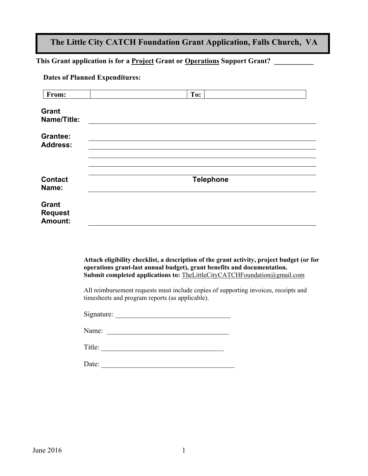# **The Little City CATCH Foundation Grant Application, Falls Church, VA**

## This Grant application is for a **Project Grant or Operations Support Grant?** \_\_\_\_\_\_\_\_

#### **Dates of Planned Expenditures:**

| From:                                            | To:              |  |
|--------------------------------------------------|------------------|--|
| <b>Grant</b><br>Name/Title:                      |                  |  |
| <b>Grantee:</b><br><b>Address:</b>               |                  |  |
| <b>Contact</b><br>Name:                          | <b>Telephone</b> |  |
| <b>Grant</b><br><b>Request</b><br><b>Amount:</b> |                  |  |

**Attach eligibility checklist, a description of the grant activity, project budget (or for operations grant-last annual budget), grant benefits and documentation. Submit completed applications to:** TheLittleCityCATCHFoundation@gmail.com

All reimbursement requests must include copies of supporting invoices, receipts and timesheets and program reports (as applicable).

Signature:

Name: \_\_\_\_\_\_\_\_\_\_\_\_\_\_\_\_\_\_\_\_\_\_\_\_\_\_\_\_\_\_\_\_\_\_

Title: \_\_\_\_\_\_\_\_\_\_\_\_\_\_\_\_\_\_\_\_\_\_\_\_\_\_\_\_\_\_\_\_\_\_

Date: \_\_\_\_\_\_\_\_\_\_\_\_\_\_\_\_\_\_\_\_\_\_\_\_\_\_\_\_\_\_\_\_\_\_\_\_\_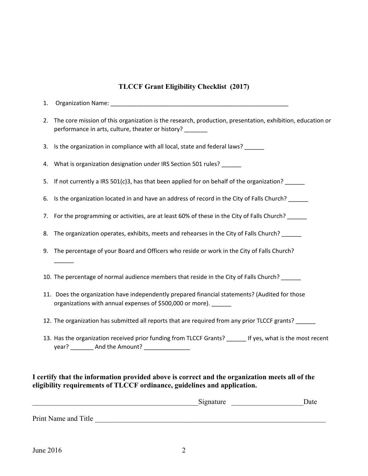## **TLCCF Grant Eligibility Checklist (2017)**

- 1. Organization Name: \_\_\_\_\_\_\_\_\_\_\_\_\_\_\_\_\_\_\_\_\_\_\_\_\_\_\_\_\_\_\_\_\_\_\_\_\_\_\_\_\_\_\_\_\_\_\_\_\_\_\_\_\_\_
- 2. The core mission of this organization is the research, production, presentation, exhibition, education or performance in arts, culture, theater or history?
- 3. Is the organization in compliance with all local, state and federal laws? \_\_\_\_\_
- 4. What is organization designation under IRS Section 501 rules?
- 5. If not currently a IRS 501(c)3, has that been applied for on behalf of the organization?
- 6. Is the organization located in and have an address of record in the City of Falls Church? \_\_\_\_\_\_
- 7. For the programming or activities, are at least 60% of these in the City of Falls Church?
- 8. The organization operates, exhibits, meets and rehearses in the City of Falls Church? \_\_\_\_\_\_
- 9. The percentage of your Board and Officers who reside or work in the City of Falls Church?
- 10. The percentage of normal audience members that reside in the City of Falls Church? \_\_\_\_\_
- 11. Does the organization have independently prepared financial statements? (Audited for those organizations with annual expenses of \$500,000 or more). \_\_\_\_\_\_
- 12. The organization has submitted all reports that are required from any prior TLCCF grants?
- 13. Has the organization received prior funding from TLCCF Grants? \_\_\_\_\_\_ If yes, what is the most recent year? \_\_\_\_\_\_\_ And the Amount? \_\_\_\_\_\_\_\_\_\_\_\_\_\_

### **I certify that the information provided above is correct and the organization meets all of the eligibility requirements of TLCCF ordinance, guidelines and application.**

|                      | Signature | Date |
|----------------------|-----------|------|
| Print Name and Title |           |      |

 $\overline{\phantom{a}}$